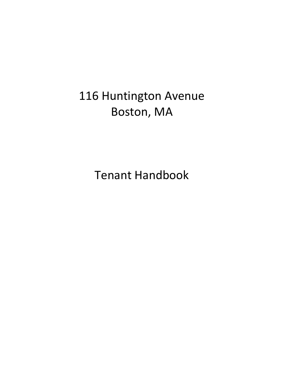# 116 Huntington Avenue Boston, MA

Tenant Handbook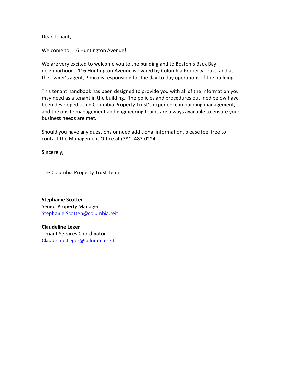Dear Tenant,

Welcome to 116 Huntington Avenue!

We are very excited to welcome you to the building and to Boston's Back Bay neighborhood. 116 Huntington Avenue is owned by Columbia Property Trust, and as the owner's agent, Pimco is responsible for the day-to-day operations of the building.

This tenant handbook has been designed to provide you with all of the information you may need as a tenant in the building. The policies and procedures outlined below have been developed using Columbia Property Trust's experience in building management, and the onsite management and engineering teams are always available to ensure your business needs are met.

Should you have any questions or need additional information, please feel free to contact the Management Office at (781) 487-0224.

Sincerely,

The Columbia Property Trust Team

**Stephanie Scotten**  Senior Property Manager [Stephanie.Scotten@columbia.reit](mailto:Stephanie.Scotten@columbia.reit)

**Claudeline Leger**  Tenant Services Coordinator [Claudeline.Leger@columbia.reit](mailto:Claudeline.Leger@columbia.reit)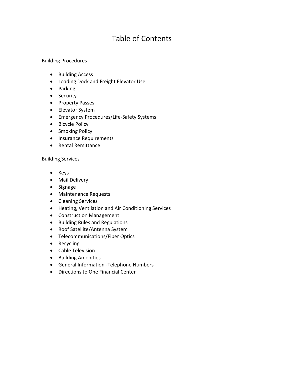# Table of Contents

#### Building Procedures

- Building Access
- Loading Dock and Freight Elevator Use
- Parking
- Security
- Property Passes
- Elevator System
- Emergency Procedures/Life-Safety Systems
- Bicycle Policy
- Smoking Policy
- Insurance Requirements
- Rental Remittance

#### Building Services

- Keys
- Mail Delivery
- Signage
- Maintenance Requests
- Cleaning Services
- Heating, Ventilation and Air Conditioning Services
- Construction Management
- Building Rules and Regulations
- Roof Satellite/Antenna System
- Telecommunications/Fiber Optics
- Recycling
- Cable Television
- Building Amenities
- General Information -Telephone Numbers
- Directions to One Financial Center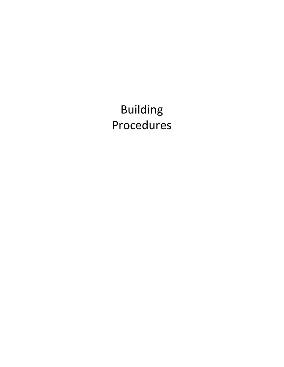Building Procedures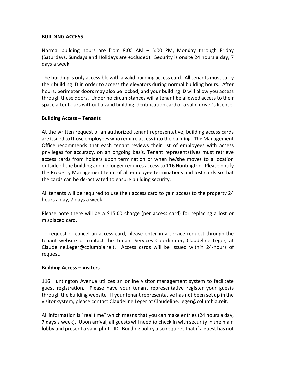#### **BUILDING ACCESS**

Normal building hours are from 8:00 AM – 5:00 PM, Monday through Friday (Saturdays, Sundays and Holidays are excluded). Security is onsite 24 hours a day, 7 days a week.

The building is only accessible with a valid building access card. All tenants must carry their building ID in order to access the elevators during normal building hours. After hours, perimeter doors may also be locked, and your building ID will allow you access through these doors. Under no circumstances will a tenant be allowed access to their space after hours without a valid building identification card or a valid driver's license.

#### **Building Access – Tenants**

At the written request of an authorized tenant representative, building access cards are issued to those employees who require access into the building. The Management Office recommends that each tenant reviews their list of employees with access privileges for accuracy, on an ongoing basis. Tenant representatives must retrieve access cards from holders upon termination or when he/she moves to a location outside of the building and no longer requires access to 116 Huntington. Please notify the Property Management team of all employee terminations and lost cards so that the cards can be de-activated to ensure building security.

All tenants will be required to use their access card to gain access to the property 24 hours a day, 7 days a week.

Please note there will be a \$15.00 charge (per access card) for replacing a lost or misplaced card.

To request or cancel an access card, please enter in a service request through the tenant website or contact the Tenant Services Coordinator, Claudeline Leger, at Claudeline.Leger@columbia.reit. Access cards will be issued within 24-hours of request.

#### **Building Access – Visitors**

116 Huntington Avenue utilizes an online visitor management system to facilitate guest registration. Please have your tenant representative register your guests through the building website. If your tenant representative has not been set up in the visitor system, please contact Claudeline Leger at Claudeline.Leger@columbia.reit.

All information is "real time" which means that you can make entries (24 hours a day, 7 days a week). Upon arrival, all guests will need to check in with security in the main lobby and present a valid photo ID. Building policy also requires that if a guest has not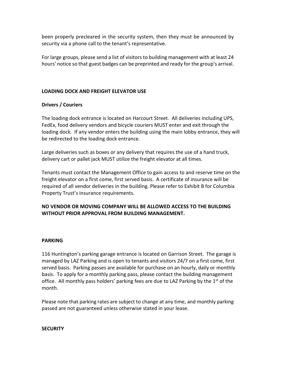been properly precleared in the security system, then they must be announced by security via a phone call to the tenant's representative.

For large groups, please send a list of visitors to building management with at least 24 hours' notice so that guest badges can be preprinted and ready for the group's arrival.

# **LOADING DOCK AND FREIGHT ELEVATOR USE**

#### **Drivers / Couriers**

The loading dock entrance is located on Harcourt Street. All deliveries including UPS, FedEx, food delivery vendors and bicycle couriers MUST enter and exit through the loading dock. If any vendor enters the building using the main lobby entrance, they will be redirected to the loading dock entrance.

Large deliveries such as boxes or any delivery that requires the use of a hand truck, delivery cart or pallet jack MUST utilize the freight elevator at all times.

Tenants must contact the Management Office to gain access to and reserve time on the freight elevator on a first come, first served basis. A certificate of insurance will be required of all vendor deliveries in the building. Please refer to Exhibit B for Columbia Property Trust's insurance requirements.

# **NO VENDOR OR MOVING COMPANY WILL BE ALLOWED ACCESS TO THE BUILDING WITHOUT PRIOR APPROVAL FROM BUILDING MANAGEMENT.**

#### **PARKING**

116 Huntington's parking garage entrance is located on Garrison Street. The garage is managed by LAZ Parking and is open to tenants and visitors 24/7 on a first come, first served basis. Parking passes are available for purchase on an hourly, daily or monthly basis. To apply for a monthly parking pass, please contact the building management office. All monthly pass holders' parking fees are due to LAZ Parking by the  $1<sup>st</sup>$  of the month.

Please note that parking rates are subject to change at any time, and monthly parking passed are not guaranteed unless otherwise stated in your lease.

#### **SECURITY**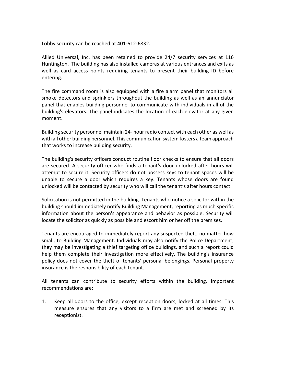Lobby security can be reached at 401-612-6832.

Allied Universal, Inc. has been retained to provide 24/7 security services at 116 Huntington. The building has also installed cameras at various entrances and exits as well as card access points requiring tenants to present their building ID before entering.

The fire command room is also equipped with a fire alarm panel that monitors all smoke detectors and sprinklers throughout the building as well as an annunciator panel that enables building personnel to communicate with individuals in all of the building's elevators. The panel indicates the location of each elevator at any given moment.

Building security personnel maintain 24- hour radio contact with each other as well as with all other building personnel. This communication system fosters a team approach that works to increase building security.

The building's security officers conduct routine floor checks to ensure that all doors are secured. A security officer who finds a tenant's door unlocked after hours will attempt to secure it. Security officers do not possess keys to tenant spaces will be unable to secure a door which requires a key. Tenants whose doors are found unlocked will be contacted by security who will call the tenant's after hours contact.

Solicitation is not permitted in the building. Tenants who notice a solicitor within the building should immediately notify Building Management, reporting as much specific information about the person's appearance and behavior as possible. Security will locate the solicitor as quickly as possible and escort him or her off the premises.

Tenants are encouraged to immediately report any suspected theft, no matter how small, to Building Management. Individuals may also notify the Police Department; they may be investigating a thief targeting office buildings, and such a report could help them complete their investigation more effectively. The building's insurance policy does not cover the theft of tenants' personal belongings. Personal property insurance is the responsibility of each tenant.

All tenants can contribute to security efforts within the building. Important recommendations are:

1. Keep all doors to the office, except reception doors, locked at all times. This measure ensures that any visitors to a firm are met and screened by its receptionist.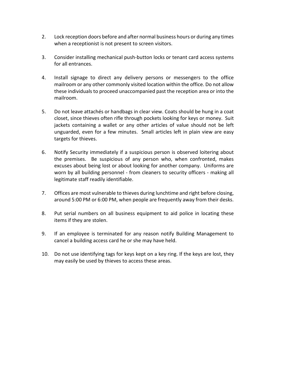- 2. Lock reception doors before and after normal business hours or during any times when a receptionist is not present to screen visitors.
- 3. Consider installing mechanical push-button locks or tenant card access systems for all entrances.
- 4. Install signage to direct any delivery persons or messengers to the office mailroom or any other commonly visited location within the office. Do not allow these individuals to proceed unaccompanied past the reception area or into the mailroom.
- 5. Do not leave attachés or handbags in clear view. Coats should be hung in a coat closet, since thieves often rifle through pockets looking for keys or money. Suit jackets containing a wallet or any other articles of value should not be left unguarded, even for a few minutes. Small articles left in plain view are easy targets for thieves.
- 6. Notify Security immediately if a suspicious person is observed loitering about the premises. Be suspicious of any person who, when confronted, makes excuses about being lost or about looking for another company. Uniforms are worn by all building personnel - from cleaners to security officers - making all legitimate staff readily identifiable.
- 7. Offices are most vulnerable to thieves during lunchtime and right before closing, around 5:00 PM or 6:00 PM, when people are frequently away from their desks.
- 8. Put serial numbers on all business equipment to aid police in locating these items if they are stolen.
- 9. If an employee is terminated for any reason notify Building Management to cancel a building access card he or she may have held.
- 10. Do not use identifying tags for keys kept on a key ring. If the keys are lost, they may easily be used by thieves to access these areas.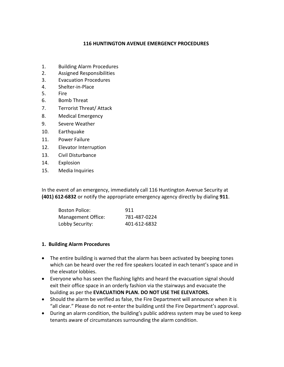#### **116 HUNTINGTON AVENUE EMERGENCY PROCEDURES**

- 1. Building Alarm Procedures
- 2. Assigned Responsibilities
- 3. Evacuation Procedures
- 4. Shelter-in-Place
- 5. Fire
- 6. Bomb Threat
- 7. Terrorist Threat/ Attack
- 8. Medical Emergency
- 9. Severe Weather
- 10. Earthquake
- 11. Power Failure
- 12. Elevator Interruption
- 13. Civil Disturbance
- 14. Explosion
- 15. Media Inquiries

In the event of an emergency, immediately call 116 Huntington Avenue Security at **(401) 612-6832** or notify the appropriate emergency agency directly by dialing **911**.

| <b>Boston Police:</b> | 911          |
|-----------------------|--------------|
| Management Office:    | 781-487-0224 |
| Lobby Security:       | 401-612-6832 |

#### **1. Building Alarm Procedures**

- The entire building is warned that the alarm has been activated by beeping tones which can be heard over the red fire speakers located in each tenant's space and in the elevator lobbies.
- Everyone who has seen the flashing lights and heard the evacuation signal should exit their office space in an orderly fashion via the stairways and evacuate the building as per the **EVACUATION PLAN. DO NOT USE THE ELEVATORS.**
- Should the alarm be verified as false, the Fire Department will announce when it is "all clear." Please do not re-enter the building until the Fire Department's approval.
- During an alarm condition, the building's public address system may be used to keep tenants aware of circumstances surrounding the alarm condition.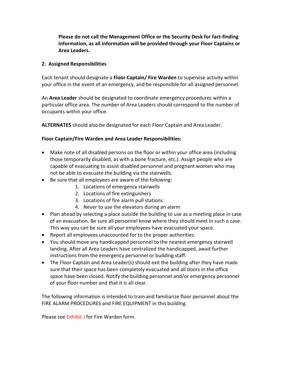**Please do not call the Management Office or the Security Desk for fact-finding information, as all information will be provided through your Floor Captains or Area Leaders.**

#### **2. Assigned Responsibilities**

Each tenant should designate a **Floor Captain/ Fire Warden** to supervise activity within your office in the event of an emergency, and be responsible for all assigned personnel.

An **Area Leader** should be designated to coordinate emergency procedures within a particular office area. The number of Area Leaders should correspond to the number of occupants within your office.

**ALTERNATES** should also be designated for each Floor Captain and Area Leader.

# **Floor Captain/Fire Warden and Area Leader Responsibilities:**

- Make note of all disabled persons on the floor or within your office area (including those temporarily disabled, as with a bone fracture, etc.). Assign people who are capable of evacuating to assist disabled personnel and pregnant women who may not be able to evacuate the building via the stairwells.
- Be sure that all employees are aware of the following:
	- 1. Locations of emergency stairwells
	- 2. Locations of fire extinguishers
	- 3. Locations of fire alarm pull stations
	- 4. Never to use the elevators during an alarm
- Plan ahead by selecting a place outside the building to use as a meeting place in case of an evacuation. Be sure all personnel know where they should meet in such a case. This way you can be sure all your employees have evacuated your space.
- Report all employees unaccounted for to the proper authorities.
- You should move any handicapped personnel to the nearest emergency stairwell landing. After all Area Leaders have centralized the handicapped, await further instructions from the emergency personnel or building staff.
- The Floor Captain and Area Leader(s) should exit the building after they have made sure that their space has been completely evacuated and all doors in the office space have been closed. Notify the building personnel and/or emergency personnel of your floor number and that it is all clear.

The following information is intended to train and familiarize floor personnel about the FIRE ALARM PROCEDURES and FIRE EQUIPMENT in this building.

Please see Exhibit J for Fire Warden form.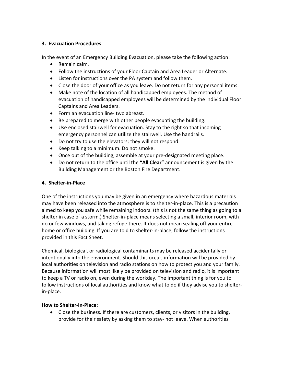#### **3. Evacuation Procedures**

In the event of an Emergency Building Evacuation, please take the following action:

- Remain calm.
- Follow the instructions of your Floor Captain and Area Leader or Alternate.
- Listen for instructions over the PA system and follow them.
- Close the door of your office as you leave. Do not return for any personal items.
- Make note of the location of all handicapped employees. The method of evacuation of handicapped employees will be determined by the individual Floor Captains and Area Leaders.
- Form an evacuation line- two abreast.
- Be prepared to merge with other people evacuating the building.
- Use enclosed stairwell for evacuation. Stay to the right so that incoming emergency personnel can utilize the stairwell. Use the handrails.
- Do not try to use the elevators; they will not respond.
- Keep talking to a minimum. Do not smoke.
- Once out of the building, assemble at your pre-designated meeting place.
- Do not return to the office until the **"All Clear"** announcement is given by the Building Management or the Boston Fire Department.

# **4. Shelter-in-Place**

One of the instructions you may be given in an emergency where hazardous materials may have been released into the atmosphere is to shelter-in-place. This is a precaution aimed to keep you safe while remaining indoors. (this is not the same thing as going to a shelter in case of a storm.) Shelter-in-place means selecting a small, interior room, with no or few windows, and taking refuge there. It does not mean sealing off your entire home or office building. If you are told to shelter-in-place, follow the instructions provided in this Fact Sheet.

Chemical, biological, or radiological contaminants may be released accidentally or intentionally into the environment. Should this occur, information will be provided by local authorities on television and radio stations on how to protect you and your family. Because information will most likely be provided on television and radio, it is important to keep a TV or radio on, even during the workday. The important thing is for you to follow instructions of local authorities and know what to do if they advise you to shelterin-place.

# **How to Shelter-In-Place:**

• Close the business. If there are customers, clients, or visitors in the building, provide for their safety by asking them to stay- not leave. When authorities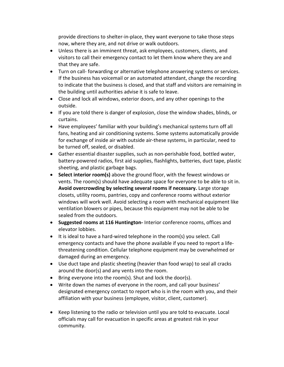provide directions to shelter-in-place, they want everyone to take those steps now, where they are, and not drive or walk outdoors.

- Unless there is an imminent threat, ask employees, customers, clients, and visitors to call their emergency contact to let them know where they are and that they are safe.
- Turn on call- forwarding or alternative telephone answering systems or services. If the business has voicemail or an automated attendant, change the recording to indicate that the business is closed, and that staff and visitors are remaining in the building until authorities advise it is safe to leave.
- Close and lock all windows, exterior doors, and any other openings to the outside.
- If you are told there is danger of explosion, close the window shades, blinds, or curtains.
- Have employees' familiar with your building's mechanical systems turn off all fans, heating and air conditioning systems. Some systems automatically provide for exchange of inside air with outside air-these systems, in particular, need to be turned off, sealed, or disabled.
- Gather essential disaster supplies, such as non-perishable food, bottled water, battery-powered radios, first aid supplies, flashlights, batteries, duct tape, plastic sheeting, and plastic garbage bags.
- **Select interior room(s)** above the ground floor, with the fewest windows or vents. The room(s) should have adequate space for everyone to be able to sit in. **Avoid overcrowding by selecting several rooms if necessary.** Large storage closets, utility rooms, pantries, copy and conference rooms without exterior windows will work well. Avoid selecting a room with mechanical equipment like ventilation blowers or pipes, because this equipment may not be able to be sealed from the outdoors.
- **Suggested rooms at 116 Huntington-** Interior conference rooms, offices and elevator lobbies.
- It is ideal to have a hard-wired telephone in the room(s) you select. Call emergency contacts and have the phone available if you need to report a lifethreatening condition. Cellular telephone equipment may be overwhelmed or damaged during an emergency.
- Use duct tape and plastic sheeting (heavier than food wrap) to seal all cracks around the door(s) and any vents into the room.
- Bring everyone into the room(s). Shut and lock the door(s).
- Write down the names of everyone in the room, and call your business' designated emergency contact to report who is in the room with you, and their affiliation with your business (employee, visitor, client, customer).
- Keep listening to the radio or television until you are told to evacuate. Local officials may call for evacuation in specific areas at greatest risk in your community.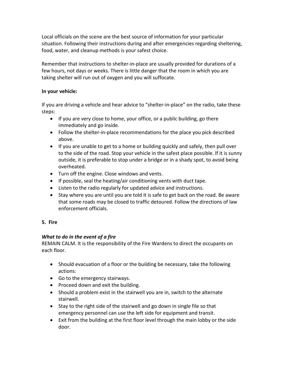Local officials on the scene are the best source of information for your particular situation. Following their instructions during and after emergencies regarding sheltering, food, water, and cleanup methods is your safest choice.

Remember that instructions to shelter-in-place are usually provided for durations of a few hours, not days or weeks. There is little danger that the room in which you are taking shelter will run out of oxygen and you will suffocate.

# **In your vehicle:**

If you are driving a vehicle and hear advice to "shelter-in-place" on the radio, take these steps:

- If you are very close to home, your office, or a public building, go there immediately and go inside.
- Follow the shelter-in-place recommendations for the place you pick described above.
- If you are unable to get to a home or building quickly and safely, then pull over to the side of the road. Stop your vehicle in the safest place possible. If it is sunny outside, it is preferable to stop under a bridge or in a shady spot, to avoid being overheated.
- Turn off the engine. Close windows and vents.
- If possible, seal the heating/air conditioning vents with duct tape.
- Listen to the radio regularly for updated advice and instructions.
- Stay where you are until you are told it is safe to get back on the road. Be aware that some roads may be closed to traffic detoured. Follow the directions of law enforcement officials.

# **5. Fire**

# *What to do in the event of a fire*

REMAIN CALM. It is the responsibility of the Fire Wardens to direct the occupants on each floor.

- Should evacuation of a floor or the building be necessary, take the following actions:
- Go to the emergency stairways.
- Proceed down and exit the building.
- Should a problem exist in the stairwell you are in, switch to the alternate stairwell.
- Stay to the right side of the stairwell and go down in single file so that emergency personnel can use the left side for equipment and transit.
- Exit from the building at the first floor level through the main lobby or the side door.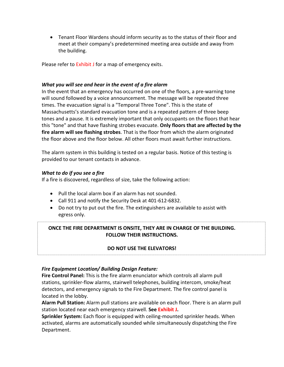• Tenant Floor Wardens should inform security as to the status of their floor and meet at their company's predetermined meeting area outside and away from the building.

Please refer to Exhibit J for a map of emergency exits.

#### *What you will see and hear in the event of a fire alarm*

In the event that an emergency has occurred on one of the floors, a pre-warning tone will sound followed by a voice announcement. The message will be repeated three times. The evacuation signal is a "Temporal Three Tone". This is the state of Massachusetts's standard evacuation tone and is a repeated pattern of three beep tones and a pause. It is extremely important that only occupants on the floors that hear this "tone" and that have flashing strobes evacuate. **Only floors that are affected by the fire alarm will see flashing strobes**. That is the floor from which the alarm originated the floor above and the floor below. All other floors must await further instructions.

The alarm system in this building is tested on a regular basis. Notice of this testing is provided to our tenant contacts in advance.

#### *What to do if you see a fire*

If a fire is discovered, regardless of size, take the following action:

- Pull the local alarm box if an alarm has not sounded.
- Call 911 and notify the Security Desk at 401-612-6832.
- Do not try to put out the fire. The extinguishers are available to assist with egress only.

# **ONCE THE FIRE DEPARTMENT IS ONSITE, THEY ARE IN CHARGE OF THE BUILDING. FOLLOW THEIR INSTRUCTIONS.**

# **DO NOT USE THE ELEVATORS!**

# *Fire Equipment Location/ Building Design Feature:*

**Fire Control Panel:** This is the fire alarm enunciator which controls all alarm pull stations, sprinkler-flow alarms, stairwell telephones, building intercom, smoke/heat detectors, and emergency signals to the Fire Department. The fire control panel is located in the lobby.

**Alarm Pull Station:** Alarm pull stations are available on each floor. There is an alarm pull station located near each emergency stairwell. **See Exhibit J.**

**Sprinkler System:** Each floor is equipped with ceiling-mounted sprinkler heads. When activated, alarms are automatically sounded while simultaneously dispatching the Fire Department.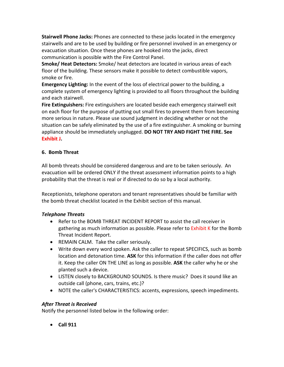**Stairwell Phone Jacks:** Phones are connected to these jacks located in the emergency stairwells and are to be used by building or fire personnel involved in an emergency or evacuation situation. Once these phones are hooked into the jacks, direct communication is possible with the Fire Control Panel.

**Smoke/ Heat Detectors:** Smoke/ heat detectors are located in various areas of each floor of the building. These sensors make it possible to detect combustible vapors, smoke or fire.

**Emergency Lighting:** In the event of the loss of electrical power to the building, a complete system of emergency lighting is provided to all floors throughout the building and each stairwell.

**Fire Extinguishers:** Fire extinguishers are located beside each emergency stairwell exit on each floor for the purpose of putting out small fires to prevent them from becoming more serious in nature. Please use sound judgment in deciding whether or not the situation can be safely eliminated by the use of a fire extinguisher. A smoking or burning appliance should be immediately unplugged. **DO NOT TRY AND FIGHT THE FIRE. See Exhibit J.**

# **6. Bomb Threat**

All bomb threats should be considered dangerous and are to be taken seriously. An evacuation will be ordered ONLY if the threat assessment information points to a high probability that the threat is real or if directed to do so by a local authority.

Receptionists, telephone operators and tenant representatives should be familiar with the bomb threat checklist located in the Exhibit section of this manual.

# *Telephone Threats*

- Refer to the BOMB THREAT INCIDENT REPORT to assist the call receiver in gathering as much information as possible. Please refer to Exhibit K for the Bomb Threat Incident Report.
- REMAIN CALM. Take the caller seriously.
- Write down every word spoken. Ask the caller to repeat SPECIFICS, such as bomb location and detonation time. **ASK** for this information if the caller does not offer it. Keep the caller ON THE LINE as long as possible. **ASK** the caller why he or she planted such a device.
- LISTEN closely to BACKGROUND SOUNDS. Is there music? Does it sound like an outside call (phone, cars, trains, etc.)?
- NOTE the caller's CHARACTERISTICS: accents, expressions, speech impediments.

# *After Threat is Received*

Notify the personnel listed below in the following order:

• **Call 911**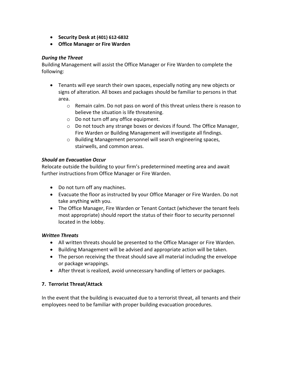- **Security Desk at (401) 612-6832**
- **Office Manager or Fire Warden**

#### *During the Threat*

Building Management will assist the Office Manager or Fire Warden to complete the following:

- Tenants will eye search their own spaces, especially noting any new objects or signs of alteration. All boxes and packages should be familiar to persons in that area.
	- o Remain calm. Do not pass on word of this threat unless there is reason to believe the situation is life threatening.
	- o Do not turn off any office equipment.
	- o Do not touch any strange boxes or devices if found. The Office Manager, Fire Warden or Building Management will investigate all findings.
	- o Building Management personnel will search engineering spaces, stairwells, and common areas.

# *Should an Evacuation Occur*

Relocate outside the building to your firm's predetermined meeting area and await further instructions from Office Manager or Fire Warden.

- Do not turn off any machines.
- Evacuate the floor as instructed by your Office Manager or Fire Warden. Do not take anything with you.
- The Office Manager, Fire Warden or Tenant Contact (whichever the tenant feels most appropriate) should report the status of their floor to security personnel located in the lobby.

# *Written Threats*

- All written threats should be presented to the Office Manager or Fire Warden.
- Building Management will be advised and appropriate action will be taken.
- The person receiving the threat should save all material including the envelope or package wrappings.
- After threat is realized, avoid unnecessary handling of letters or packages.

# **7. Terrorist Threat/Attack**

In the event that the building is evacuated due to a terrorist threat, all tenants and their employees need to be familiar with proper building evacuation procedures.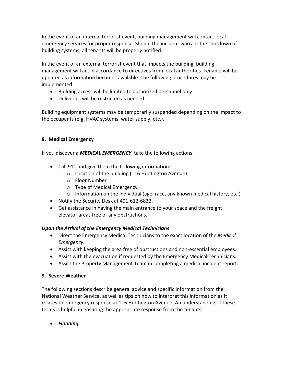In the event of an internal terrorist event, building management will contact local emergency services for proper response. Should the incident warrant the shutdown of building systems, all tenants will be properly notified.

In the event of an external terrorist event that impacts the building, building management will act in accordance to directives from local authorities. Tenants will be updated as information becomes available. The following procedures may be implemented:

- Building access will be limited to authorized personnel only
- Deliveries will be restricted as needed

Building equipment systems may be temporarily suspended depending on the impact to the occupants (e.g. HVAC systems, water supply, etc.).

# **8. Medical Emergency**

If you discover a *MEDICAL EMERGENCY*, take the following actions:

- Call 911 and give them the following information:
	- o Location of the building (116 Huntington Avenue)
	- o Floor Number
	- o Type of Medical Emergency
	- $\circ$  Information on the individual (age, race, any known medical history, etc.)
- Notify the Security Desk at 401-612-6832.
- Get assistance in having the main entrance to your space and the freight elevator areas free of any obstructions.

# *Upon the Arrival of the Emergency Medical Technicians*

- Direct the Emergency Medical Technicians to the exact location of the *Medical Emergency.*
- Assist with keeping the area free of obstructions and non-essential employees.
- Assist with the evacuation if requested by the Emergency Medical Technicians.
- Assist the Property Management Team in completing a medical incident report.

# **9. Severe Weather**

The following sections describe general advice and specific information from the National Weather Service, as well as tips on how to interpret this information as it relates to emergency response at 116 Huntington Avenue. An understanding of these terms is helpful in ensuring the appropriate response from the tenants.

• *Flooding*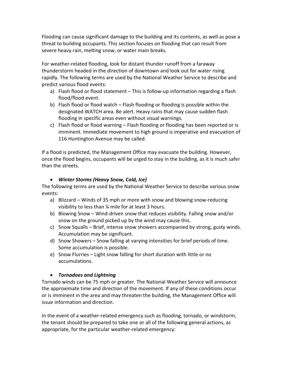Flooding can cause significant damage to the building and its contents, as well as pose a threat to building occupants. This section focuses on flooding that can result from severe heavy rain, melting snow, or water main breaks.

For weather-related flooding, look for distant thunder runoff from a faraway thunderstorm headed in the direction of downtown and look out for water rising rapidly. The following terms are used by the National Weather Service to describe and predict various flood events:

- a) Flash flood or flood statement This is follow-up information regarding a flash flood/flood event.
- b) Flash flood or flood watch Flash flooding or flooding is possible within the designated WATCH area. Be alert. Heavy rains that may cause sudden flash flooding in specific areas even without visual warnings.
- c) Flash flood or flood warning Flash flooding or flooding has been reported or is imminent. Immediate movement to high ground is imperative and evacuation of 116 Huntington Avenue may be called.

If a flood is predicted, the Management Office may evacuate the building. However, once the flood begins, occupants will be urged to stay in the building, as it is much safer than the streets.

# • *Winter Storms (Heavy Snow, Cold, Ice)*

The following terms are used by the National Weather Service to describe various snow events:

- a) Blizzard Winds of 35 mph or more with snow and blowing snow-reducing visibility to less than ¼ mile for at least 3 hours.
- b) Blowing Snow Wind-driven snow that reduces visibility. Falling snow and/or snow on the ground picked up by the wind may cause this.
- c) Snow Squalls Brief, intense snow showers accompanied by strong, gusty winds. Accumulation may be significant.
- d) Snow Showers Snow falling at varying intensities for brief periods of time. Some accumulation is possible.
- e) Snow Flurries Light snow falling for short duration with little or no accumulations.

# • *Tornadoes and Lightning*

Tornado winds can be 75 mph or greater. The National Weather Service will announce the approximate time and direction of the movement. If any of these conditions occur or is imminent in the area and may threaten the building, the Management Office will issue information and direction.

In the event of a weather-related emergency such as flooding, tornado, or windstorm, the tenant should be prepared to take one or all of the following general actions, as appropriate, for the particular weather-related emergency: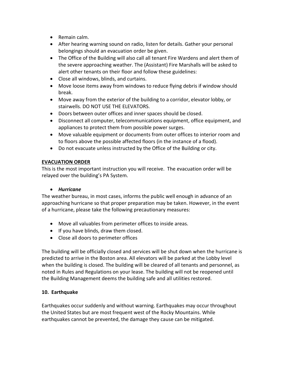- Remain calm.
- After hearing warning sound on radio, listen for details. Gather your personal belongings should an evacuation order be given.
- The Office of the Building will also call all tenant Fire Wardens and alert them of the severe approaching weather. The (Assistant) Fire Marshalls will be asked to alert other tenants on their floor and follow these guidelines:
- Close all windows, blinds, and curtains.
- Move loose items away from windows to reduce flying debris if window should break.
- Move away from the exterior of the building to a corridor, elevator lobby, or stairwells. DO NOT USE THE ELEVATORS.
- Doors between outer offices and inner spaces should be closed.
- Disconnect all computer, telecommunications equipment, office equipment, and appliances to protect them from possible power surges.
- Move valuable equipment or documents from outer offices to interior room and to floors above the possible affected floors (in the instance of a flood).
- Do not evacuate unless instructed by the Office of the Building or city.

# **EVACUATION ORDER**

This is the most important instruction you will receive. The evacuation order will be relayed over the building's PA System.

# • *Hurricane*

The weather bureau, in most cases, informs the public well enough in advance of an approaching hurricane so that proper preparation may be taken. However, in the event of a hurricane, please take the following precautionary measures:

- Move all valuables from perimeter offices to inside areas.
- If you have blinds, draw them closed.
- Close all doors to perimeter offices

The building will be officially closed and services will be shut down when the hurricane is predicted to arrive in the Boston area. All elevators will be parked at the Lobby level when the building is closed. The building will be cleared of all tenants and personnel, as noted in Rules and Regulations on your lease. The building will not be reopened until the Building Management deems the building safe and all utilities restored.

# **10. Earthquake**

Earthquakes occur suddenly and without warning. Earthquakes may occur throughout the United States but are most frequent west of the Rocky Mountains. While earthquakes cannot be prevented, the damage they cause can be mitigated.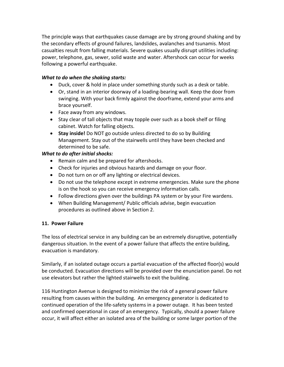The principle ways that earthquakes cause damage are by strong ground shaking and by the secondary effects of ground failures, landslides, avalanches and tsunamis. Most casualties result from falling materials. Severe quakes usually disrupt utilities including: power, telephone, gas, sewer, solid waste and water. Aftershock can occur for weeks following a powerful earthquake.

# *What to do when the shaking starts:*

- Duck, cover & hold in place under something sturdy such as a desk or table.
- Or, stand in an interior doorway of a loading-bearing wall. Keep the door from swinging. With your back firmly against the doorframe, extend your arms and brace yourself.
- Face away from any windows.
- Stay clear of tall objects that may topple over such as a book shelf or filing cabinet. Watch for falling objects.
- **Stay inside!** Do NOT go outside unless directed to do so by Building Management. Stay out of the stairwells until they have been checked and determined to be safe.

# *What to do after initial shocks:*

- Remain calm and be prepared for aftershocks.
- Check for injuries and obvious hazards and damage on your floor.
- Do not turn on or off any lighting or electrical devices.
- Do not use the telephone except in extreme emergencies. Make sure the phone is on the hook so you can receive emergency information calls.
- Follow directions given over the buildings PA system or by your Fire wardens.
- When Building Management/ Public officials advise, begin evacuation procedures as outlined above in Section 2.

# **11. Power Failure**

The loss of electrical service in any building can be an extremely disruptive, potentially dangerous situation. In the event of a power failure that affects the entire building, evacuation is mandatory.

Similarly, if an isolated outage occurs a partial evacuation of the affected floor(s) would be conducted. Evacuation directions will be provided over the enunciation panel. Do not use elevators but rather the lighted stairwells to exit the building.

116 Huntington Avenue is designed to minimize the risk of a general power failure resulting from causes within the building. An emergency generator is dedicated to continued operation of the life-safety systems in a power outage. It has been tested and confirmed operational in case of an emergency. Typically, should a power failure occur, it will affect either an isolated area of the building or some larger portion of the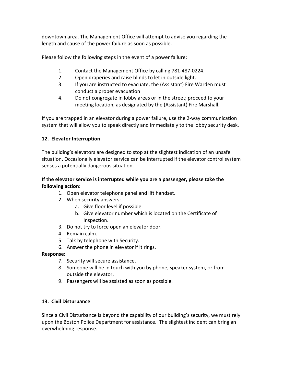downtown area. The Management Office will attempt to advise you regarding the length and cause of the power failure as soon as possible.

Please follow the following steps in the event of a power failure:

- 1. Contact the Management Office by calling 781-487-0224.
- 2. Open draperies and raise blinds to let in outside light.
- 3. If you are instructed to evacuate, the (Assistant) Fire Warden must conduct a proper evacuation
- 4. Do not congregate in lobby areas or in the street; proceed to your meeting location, as designated by the (Assistant) Fire Marshall.

If you are trapped in an elevator during a power failure, use the 2-way communication system that will allow you to speak directly and immediately to the lobby security desk.

# **12. Elevator Interruption**

The building's elevators are designed to stop at the slightest indication of an unsafe situation. Occasionally elevator service can be interrupted if the elevator control system senses a potentially dangerous situation.

# **If the elevator service is interrupted while you are a passenger, please take the following action:**

- 1. Open elevator telephone panel and lift handset.
- 2. When security answers:
	- a. Give floor level if possible.
	- b. Give elevator number which is located on the Certificate of Inspection.
- 3. Do not try to force open an elevator door.
- 4. Remain calm.
- 5. Talk by telephone with Security.
- 6. Answer the phone in elevator if it rings.

# **Response:**

- 7. Security will secure assistance.
- 8. Someone will be in touch with you by phone, speaker system, or from outside the elevator.
- 9. Passengers will be assisted as soon as possible.

# **13. Civil Disturbance**

Since a Civil Disturbance is beyond the capability of our building's security, we must rely upon the Boston Police Department for assistance. The slightest incident can bring an overwhelming response.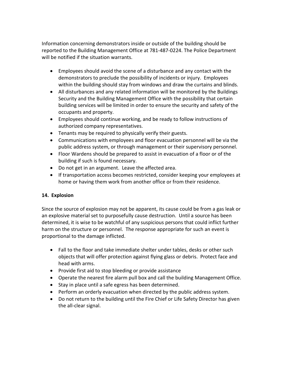Information concerning demonstrators inside or outside of the building should be reported to the Building Management Office at 781-487-0224. The Police Department will be notified if the situation warrants.

- Employees should avoid the scene of a disturbance and any contact with the demonstrators to preclude the possibility of incidents or injury. Employees within the building should stay from windows and draw the curtains and blinds.
- All disturbances and any related information will be monitored by the Buildings Security and the Building Management Office with the possibility that certain building services will be limited in order to ensure the security and safety of the occupants and property.
- Employees should continue working, and be ready to follow instructions of authorized company representatives.
- Tenants may be required to physically verify their guests.
- Communications with employees and floor evacuation personnel will be via the public address system, or through management or their supervisory personnel.
- Floor Wardens should be prepared to assist in evacuation of a floor or of the building if such is found necessary.
- Do not get in an argument. Leave the affected area.
- If transportation access becomes restricted, consider keeping your employees at home or having them work from another office or from their residence.

# **14. Explosion**

Since the source of explosion may not be apparent, its cause could be from a gas leak or an explosive material set to purposefully cause destruction. Until a source has been determined, it is wise to be watchful of any suspicious persons that could inflict further harm on the structure or personnel. The response appropriate for such an event is proportional to the damage inflicted.

- Fall to the floor and take immediate shelter under tables, desks or other such objects that will offer protection against flying glass or debris. Protect face and head with arms.
- Provide first aid to stop bleeding or provide assistance
- Operate the nearest fire alarm pull box and call the building Management Office.
- Stay in place until a safe egress has been determined.
- Perform an orderly evacuation when directed by the public address system.
- Do not return to the building until the Fire Chief or Life Safety Director has given the all-clear signal.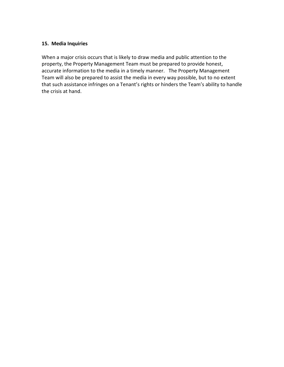#### **15. Media Inquiries**

When a major crisis occurs that is likely to draw media and public attention to the property, the Property Management Team must be prepared to provide honest, accurate information to the media in a timely manner. The Property Management Team will also be prepared to assist the media in every way possible, but to no extent that such assistance infringes on a Tenant's rights or hinders the Team's ability to handle the crisis at hand.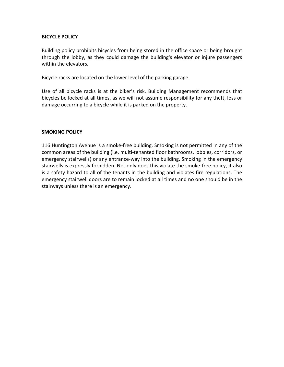#### **BICYCLE POLICY**

Building policy prohibits bicycles from being stored in the office space or being brought through the lobby, as they could damage the building's elevator or injure passengers within the elevators.

Bicycle racks are located on the lower level of the parking garage.

Use of all bicycle racks is at the biker's risk. Building Management recommends that bicycles be locked at all times, as we will not assume responsibility for any theft, loss or damage occurring to a bicycle while it is parked on the property.

#### **SMOKING POLICY**

116 Huntington Avenue is a smoke-free building. Smoking is not permitted in any of the common areas of the building (i.e. multi-tenanted floor bathrooms, lobbies, corridors, or emergency stairwells) or any entrance-way into the building. Smoking in the emergency stairwells is expressly forbidden. Not only does this violate the smoke-free policy, it also is a safety hazard to all of the tenants in the building and violates fire regulations. The emergency stairwell doors are to remain locked at all times and no one should be in the stairways unless there is an emergency.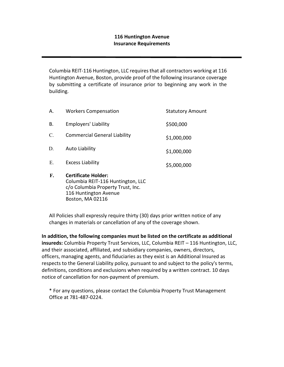# **116 Huntington Avenue Insurance Requirements**

Columbia REIT-116 Huntington, LLC requires that all contractors working at 116 Huntington Avenue, Boston, provide proof of the following insurance coverage by submitting a certificate of insurance prior to beginning any work in the building.

| F.          | <b>Certificate Holder:</b>          |                         |
|-------------|-------------------------------------|-------------------------|
| E.          | <b>Excess Liability</b>             | \$5,000,000             |
| D.          | <b>Auto Liability</b>               | \$1,000,000             |
| $C_{\cdot}$ | <b>Commercial General Liability</b> | \$1,000,000             |
| В.          | <b>Employers' Liability</b>         | \$500,000               |
| Α.          | <b>Workers Compensation</b>         | <b>Statutory Amount</b> |

Columbia REIT-116 Huntington, LLC c/o Columbia Property Trust, Inc. 116 Huntington Avenue Boston, MA 02116

All Policies shall expressly require thirty (30) days prior written notice of any changes in materials or cancellation of any of the coverage shown.

**In addition, the following companies must be listed on the certificate as additional insureds:** Columbia Property Trust Services, LLC, Columbia REIT – 116 Huntington, LLC, and their associated, affiliated, and subsidiary companies, owners, directors, officers, managing agents, and fiduciaries as they exist is an Additional Insured as respects to the General Liability policy, pursuant to and subject to the policy's terms, definitions, conditions and exclusions when required by a written contract. 10 days notice of cancellation for non-payment of premium.

\* For any questions, please contact the Columbia Property Trust Management Office at 781-487-0224.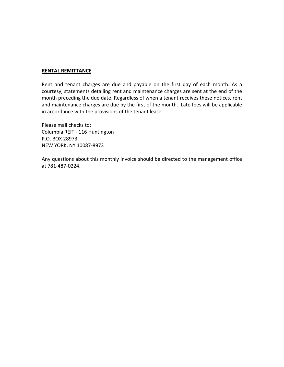#### **RENTAL REMITTANCE**

Rent and tenant charges are due and payable on the first day of each month. As a courtesy, statements detailing rent and maintenance charges are sent at the end of the month preceding the due date. Regardless of when a tenant receives these notices, rent and maintenance charges are due by the first of the month. Late fees will be applicable in accordance with the provisions of the tenant lease.

Please mail checks to: Columbia REIT - 116 Huntington P.O. BOX 28973 NEW YORK, NY 10087-8973

Any questions about this monthly invoice should be directed to the management office at 781-487-0224.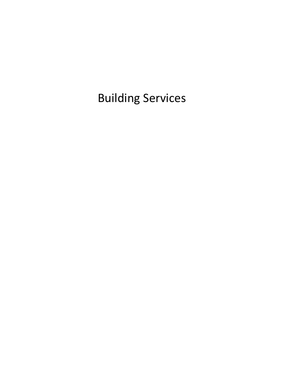Building Services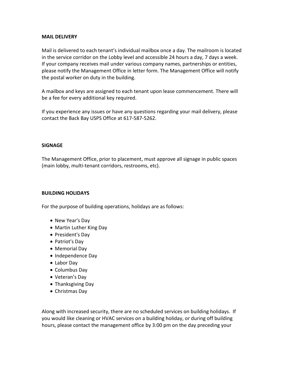#### **MAIL DELIVERY**

Mail is delivered to each tenant's individual mailbox once a day. The mailroom is located in the service corridor on the Lobby level and accessible 24 hours a day, 7 days a week. If your company receives mail under various company names, partnerships or entities, please notify the Management Office in letter form. The Management Office will notify the postal worker on duty in the building.

A mailbox and keys are assigned to each tenant upon lease commencement. There will be a fee for every additional key required.

If you experience any issues or have any questions regarding your mail delivery, please contact the Back Bay USPS Office at 617-587-5262.

#### **SIGNAGE**

The Management Office, prior to placement, must approve all signage in public spaces (main lobby, multi-tenant corridors, restrooms, etc).

#### **BUILDING HOLIDAYS**

For the purpose of building operations, holidays are as follows:

- New Year's Day
- Martin Luther King Day
- President's Day
- Patriot's Day
- Memorial Day
- Independence Day
- Labor Day
- Columbus Day
- Veteran's Day
- Thanksgiving Day
- Christmas Day

Along with increased security, there are no scheduled services on building holidays. If you would like cleaning or HVAC services on a building holiday, or during off building hours, please contact the management office by 3:00 pm on the day preceding your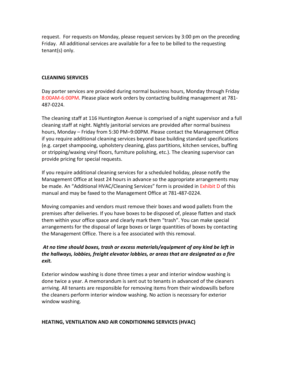request. For requests on Monday, please request services by 3:00 pm on the preceding Friday. All additional services are available for a fee to be billed to the requesting tenant(s) only.

#### **CLEANING SERVICES**

Day porter services are provided during normal business hours, Monday through Friday 8:00AM-6:00PM. Please place work orders by contacting building management at 781- 487-0224.

The cleaning staff at 116 Huntington Avenue is comprised of a night supervisor and a full cleaning staff at night. Nightly janitorial services are provided after normal business hours, Monday – Friday from 5:30 PM–9:00PM. Please contact the Management Office if you require additional cleaning services beyond base building standard specifications (e.g. carpet shampooing, upholstery cleaning, glass partitions, kitchen services, buffing or stripping/waxing vinyl floors, furniture polishing, etc.). The cleaning supervisor can provide pricing for special requests.

If you require additional cleaning services for a scheduled holiday, please notify the Management Office at least 24 hours in advance so the appropriate arrangements may be made. An "Additional HVAC/Cleaning Services" form is provided in Exhibit D of this manual and may be faxed to the Management Office at 781-487-0224.

Moving companies and vendors must remove their boxes and wood pallets from the premises after deliveries. If you have boxes to be disposed of, please flatten and stack them within your office space and clearly mark them "trash". You can make special arrangements for the disposal of large boxes or large quantities of boxes by contacting the Management Office. There is a fee associated with this removal.

# *At no time should boxes, trash or excess materials/equipment of any kind be left in the hallways, lobbies, freight elevator lobbies, or areas that are designated as a fire exit.*

Exterior window washing is done three times a year and interior window washing is done twice a year. A memorandum is sent out to tenants in advanced of the cleaners arriving. All tenants are responsible for removing items from their windowsills before the cleaners perform interior window washing. No action is necessary for exterior window washing.

#### **HEATING, VENTILATION AND AIR CONDITIONING SERVICES (HVAC)**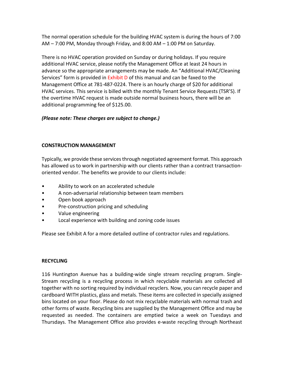The normal operation schedule for the building HVAC system is during the hours of 7:00 AM – 7:00 PM, Monday through Friday, and 8:00 AM – 1:00 PM on Saturday.

There is no HVAC operation provided on Sunday or during holidays. If you require additional HVAC service, please notify the Management Office at least 24 hours in advance so the appropriate arrangements may be made. An "Additional HVAC/Cleaning Services" form is provided in Exhibit D of this manual and can be faxed to the Management Office at 781-487-0224. There is an hourly charge of \$20 for additional HVAC services. This service is billed with the monthly Tenant Service Requests (TSR'S). If the overtime HVAC request is made outside normal business hours, there will be an additional programming fee of \$125.00.

# *(Please note: These charges are subject to change.)*

# **CONSTRUCTION MANAGEMENT**

Typically, we provide these services through negotiated agreement format. This approach has allowed us to work in partnership with our clients rather than a contract transactionoriented vendor. The benefits we provide to our clients include:

- Ability to work on an accelerated schedule
- A non-adversarial relationship between team members
- Open book approach
- Pre-construction pricing and scheduling
- Value engineering
- Local experience with building and zoning code issues

Please see Exhibit A for a more detailed outline of contractor rules and regulations.

# **RECYCLING**

116 Huntington Avenue has a building-wide single stream recycling program. Single-Stream recycling is a recycling process in which recyclable materials are collected all together with no sorting required by individual recyclers. Now, you can recycle paper and cardboard WITH plastics, glass and metals. These items are collected in specially assigned bins located on your floor. Please do not mix recyclable materials with normal trash and other forms of waste. Recycling bins are supplied by the Management Office and may be requested as needed. The containers are emptied twice a week on Tuesdays and Thursdays. The Management Office also provides e-waste recycling through Northeast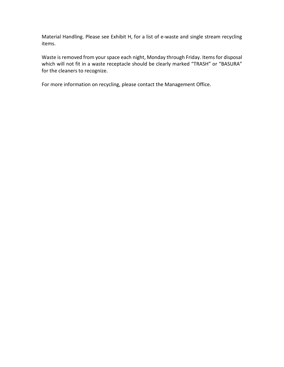Material Handling. Please see Exhibit H, for a list of e-waste and single stream recycling items.

Waste is removed from your space each night, Monday through Friday. Items for disposal which will not fit in a waste receptacle should be clearly marked "TRASH" or "BASURA" for the cleaners to recognize.

For more information on recycling, please contact the Management Office.